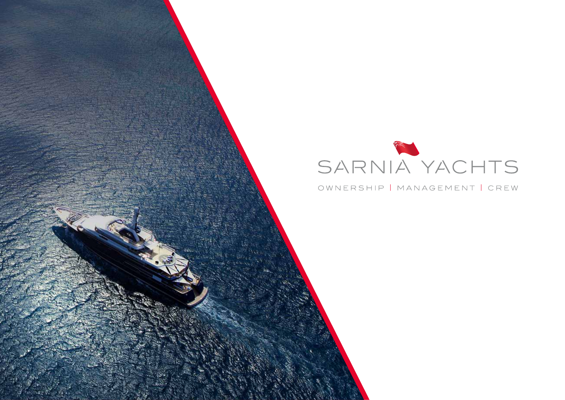# SARNIA YACHTS

#### OWNERSHIP | MANAGEMENT | CREW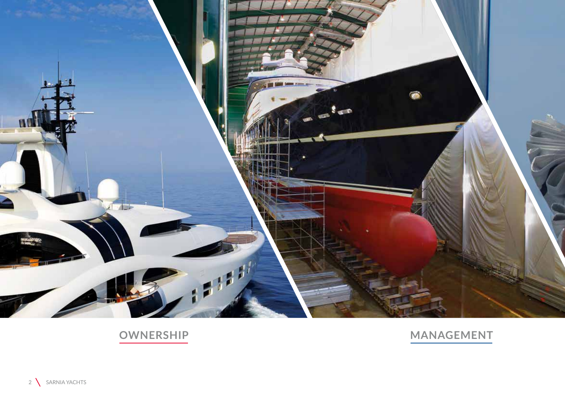

# OWNERSHIP

# MANAGEMENT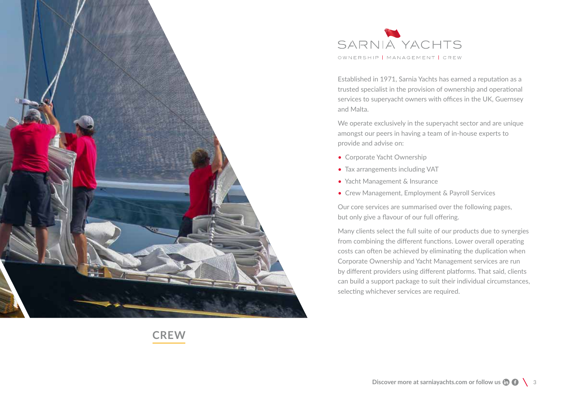

SARNIA YACHTS OWNERSHIP | MANAGEMENT | CREW

Established in 1971, Sarnia Yachts has earned a reputation as a trusted specialist in the provision of ownership and operational services to superyacht owners with offices in the UK, Guernsey and Malta.

We operate exclusively in the superyacht sector and are unique amongst our peers in having a team of in-house experts to provide and advise on:

- Corporate Yacht Ownership
- Tax arrangements including VAT
- Yacht Management & Insurance
- Crew Management, Employment & Payroll Services

Our core services are summarised over the following pages, but only give a flavour of our full offering.

Many clients select the full suite of our products due to synergies from combining the different functions. Lower overall operating costs can often be achieved by eliminating the duplication when Corporate Ownership and Yacht Management services are run by different providers using different platforms. That said, clients can build a support package to suit their individual circumstances, selecting whichever services are required.

**MANAGEMENT CREW**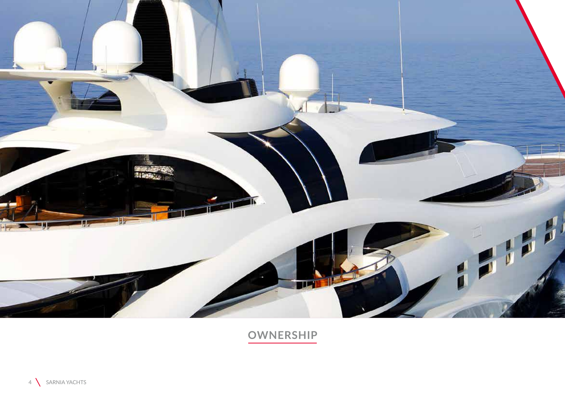

**OWNERSHIP**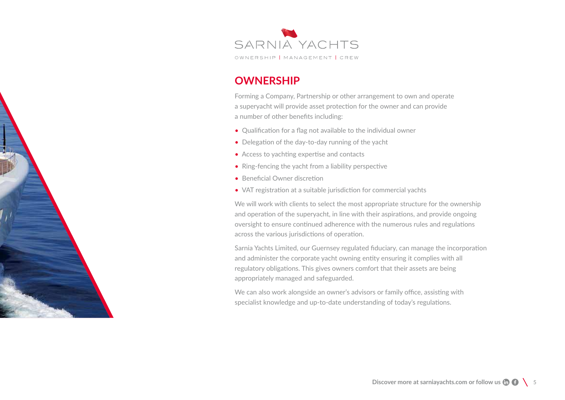

#### **OWNERSHIP**

Forming a Company, Partnership or other arrangement to own and operate a superyacht will provide asset protection for the owner and can provide a number of other benefits including:

- Qualification for a flag not available to the individual owner
- Delegation of the day-to-day running of the yacht
- Access to yachting expertise and contacts
- Ring-fencing the yacht from a liability perspective
- Beneficial Owner discretion
- VAT registration at a suitable jurisdiction for commercial yachts

We will work with clients to select the most appropriate structure for the ownership and operation of the superyacht, in line with their aspirations, and provide ongoing oversight to ensure continued adherence with the numerous rules and regulations across the various jurisdictions of operation.

Sarnia Yachts Limited, our Guernsey regulated fiduciary, can manage the incorporation and administer the corporate yacht owning entity ensuring it complies with all regulatory obligations. This gives owners comfort that their assets are being appropriately managed and safeguarded.

We can also work alongside an owner's advisors or family office, assisting with specialist knowledge and up-to-date understanding of today's regulations.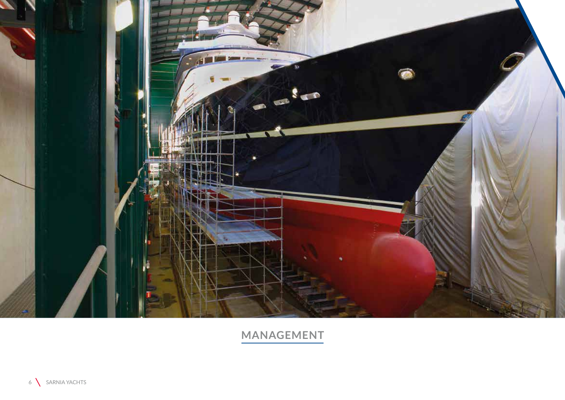

**MANAGEMENT**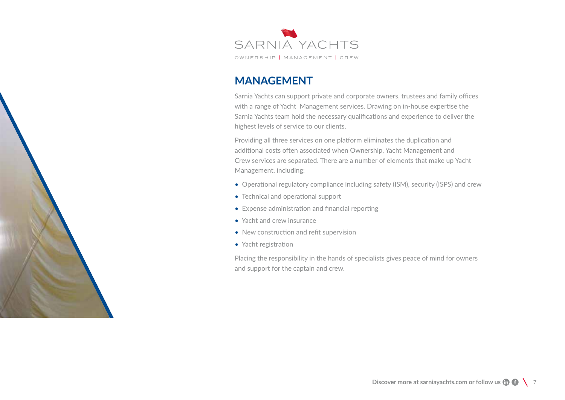

#### **MANAGEMENT**

Sarnia Yachts can support private and corporate owners, trustees and family offices with a range of Yacht Management services. Drawing on in-house expertise the Sarnia Yachts team hold the necessary qualifications and experience to deliver the highest levels of service to our clients.

Providing all three services on one platform eliminates the duplication and additional costs often associated when Ownership, Yacht Management and Crew services are separated. There are a number of elements that make up Yacht Management, including:

- Operational regulatory compliance including safety (ISM), security (ISPS) and crew
- Technical and operational support
- Expense administration and financial reporting
- Yacht and crew insurance
- New construction and refit supervision
- Yacht registration

Placing the responsibility in the hands of specialists gives peace of mind for owners and support for the captain and crew.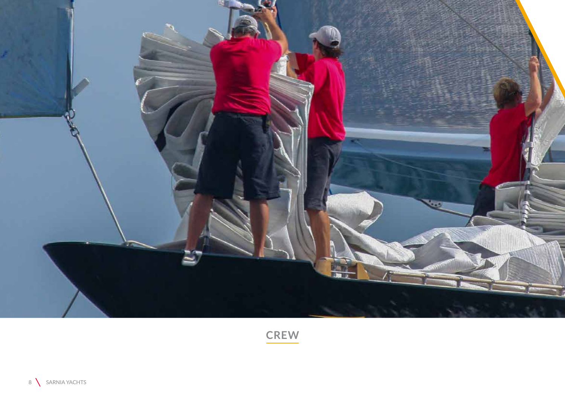

CREW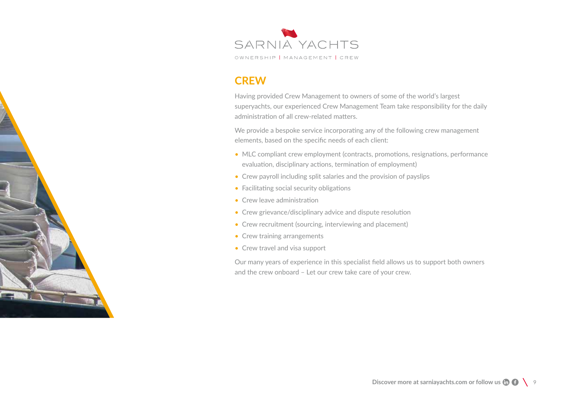

#### **CREW**

Having provided Crew Management to owners of some of the world's largest superyachts, our experienced Crew Management Team take responsibility for the daily administration of all crew-related matters.

We provide a bespoke service incorporating any of the following crew management elements, based on the specific needs of each client:

- MLC compliant crew employment (contracts, promotions, resignations, performance evaluation, disciplinary actions, termination of employment)
- Crew payroll including split salaries and the provision of payslips
- Facilitating social security obligations
- Crew leave administration
- Crew grievance/disciplinary advice and dispute resolution
- Crew recruitment (sourcing, interviewing and placement)
- Crew training arrangements
- Crew travel and visa support

Our many years of experience in this specialist field allows us to support both owners and the crew onboard – Let our crew take care of your crew.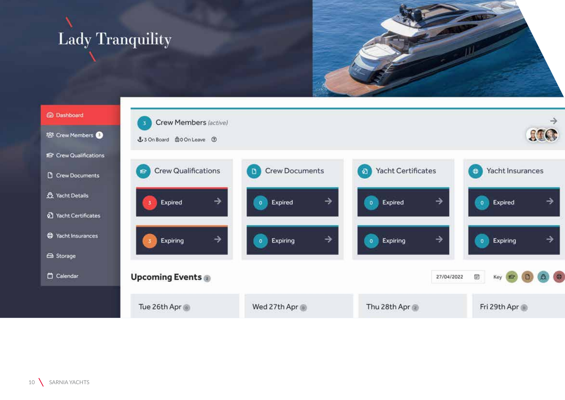**Lady Tranquility** 



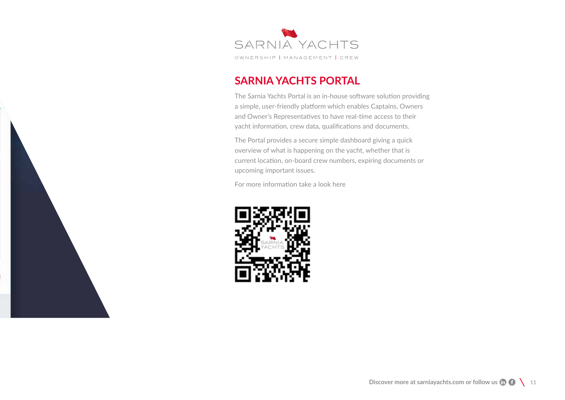

### **SARNIA YACHTS PORTAL**

The Sarnia Yachts Portal is an in-house software solution providing a simple, user-friendly platform which enables Captains, Owners and Owner's Representatives to have real-time access to their yacht information, crew data, qualifications and documents.

The Portal provides a secure simple dashboard giving a quick overview of what is happening on the yacht, whether that is current location, on-board crew numbers, expiring documents or upcoming important issues.

For more information take a look here